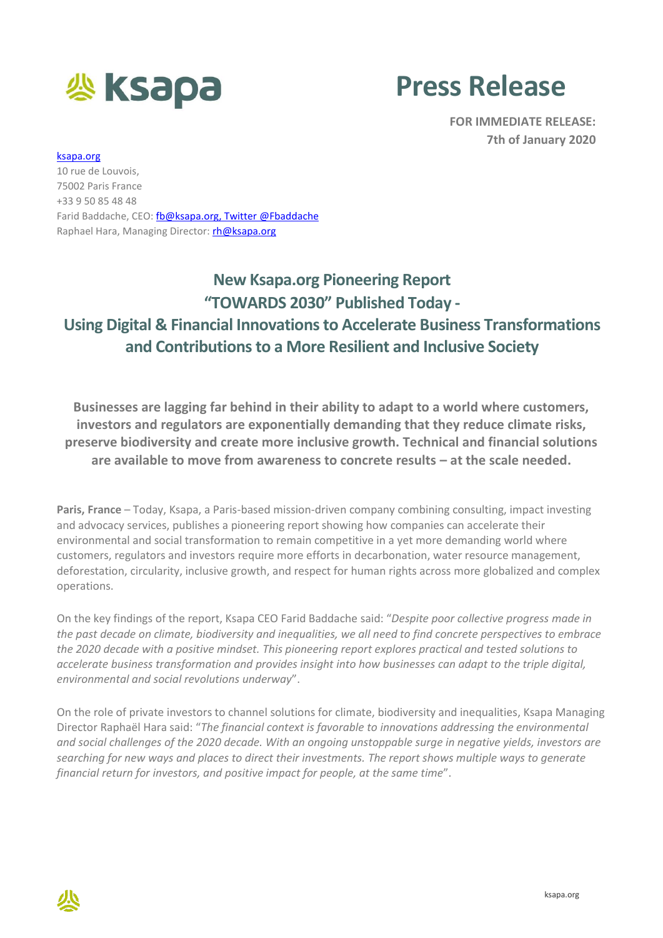

## **Press Release**

**FOR IMMEDIATE RELEASE: 7th of January 2020**

## [ksapa.org](http://www.ksapa.org/)

10 rue de Louvois, 75002 Paris France +33 9 50 85 48 48 Farid Baddache, CEO: [fb@ksapa.org,](mailto:fb@ksapa.org) Twitter @Fbaddache Raphael Hara, Managing Director: [rh@ksapa.org](mailto:rh@ksapa.org)

## **New Ksapa.org Pioneering Report "TOWARDS 2030" Published Today - Using Digital & Financial Innovations to Accelerate Business Transformations and Contributions to a More Resilient and Inclusive Society**

**Businesses are lagging far behind in their ability to adapt to a world where customers, investors and regulators are exponentially demanding that they reduce climate risks, preserve biodiversity and create more inclusive growth. Technical and financial solutions are available to move from awareness to concrete results – at the scale needed.**

**Paris, France** – Today, Ksapa, a Paris-based mission-driven company combining consulting, impact investing and advocacy services, publishes a pioneering report showing how companies can accelerate their environmental and social transformation to remain competitive in a yet more demanding world where customers, regulators and investors require more efforts in decarbonation, water resource management, deforestation, circularity, inclusive growth, and respect for human rights across more globalized and complex operations.

On the key findings of the report, Ksapa CEO Farid Baddache said: "*Despite poor collective progress made in the past decade on climate, biodiversity and inequalities, we all need to find concrete perspectives to embrace the 2020 decade with a positive mindset. This pioneering report explores practical and tested solutions to accelerate business transformation and provides insight into how businesses can adapt to the triple digital, environmental and social revolutions underway*".

On the role of private investors to channel solutions for climate, biodiversity and inequalities, Ksapa Managing Director Raphaël Hara said: "*The financial context is favorable to innovations addressing the environmental and social challenges of the 2020 decade. With an ongoing unstoppable surge in negative yields, investors are searching for new ways and places to direct their investments. The report shows multiple ways to generate financial return for investors, and positive impact for people, at the same time*".